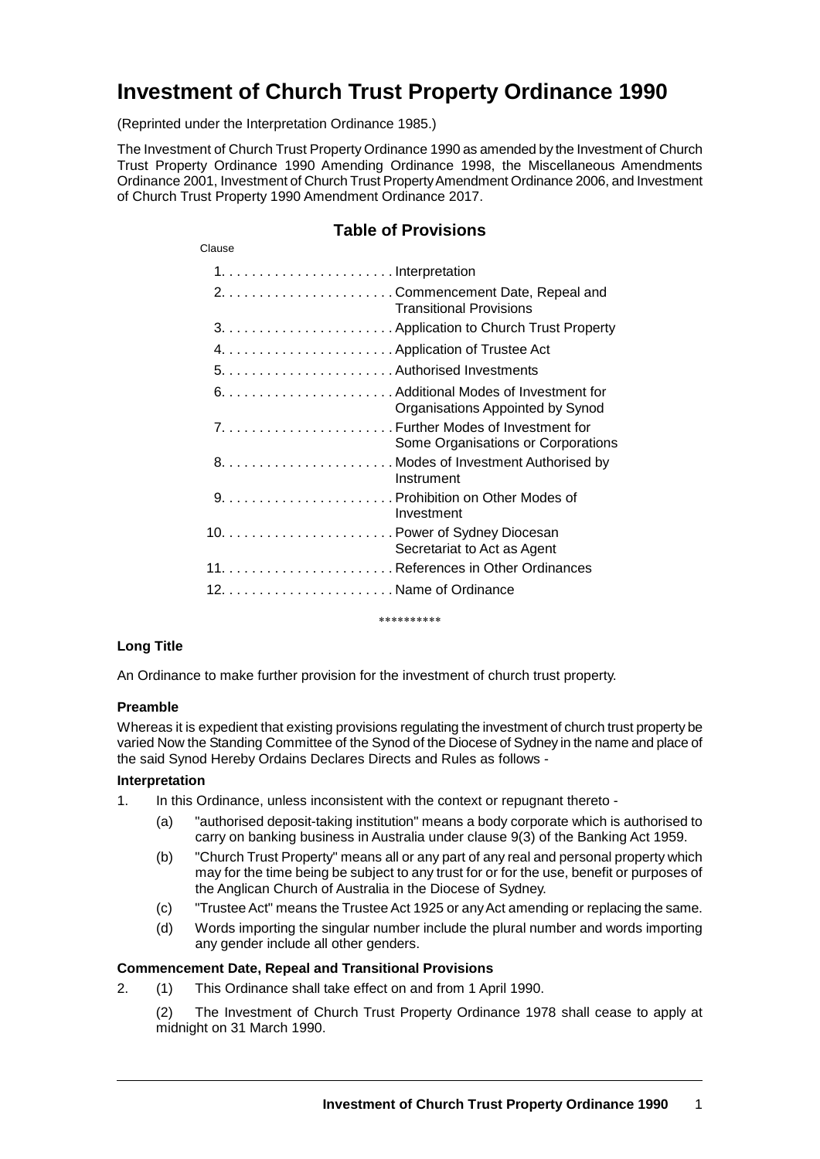# **Investment of Church Trust Property Ordinance 1990**

(Reprinted under the Interpretation Ordinance 1985.)

The Investment of Church Trust Property Ordinance 1990 as amended by the Investment of Church Trust Property Ordinance 1990 Amending Ordinance 1998, the Miscellaneous Amendments Ordinance 2001, Investment of Church Trust Property Amendment Ordinance 2006, and Investment of Church Trust Property 1990 Amendment Ordinance 2017.

# Clause 1. . . . . . . . . . . . . . . . . . . . . . . Interpretation 2. . . . . . . . . . . . . . . . . . . . . . . Commencement Date, Repeal and Transitional Provisions 3. . . . . . . . . . . . . . . . . . . . . . . Application to Church Trust Property 4. . . . . . . . . . . . . . . . . . . . . . . Application of Trustee Act 5. . . . . . . . . . . . . . . . . . . . . . . Authorised Investments 6. . . . . . . . . . . . . . . . . . . . . . . Additional Modes of Investment for Organisations Appointed by Synod 7. . . . . . . . . . . . . . . . . . . . . . . Further Modes of Investment for Some Organisations or Corporations 8. . . . . . . . . . . . . . . . . . . . . . . Modes of Investment Authorised by Instrument 9. . . . . . . . . . . . . . . . . . . . . . . Prohibition on Other Modes of Investment 10. . . . . . . . . . . . . . . . . . . . . . . Power of Sydney Diocesan Secretariat to Act as Agent 11. . . . . . . . . . . . . . . . . . . . . . . References in Other Ordinances 12. . . . . . . . . . . . . . . . . . . . . . . Name of Ordinance

# **Table of Provisions**

#### ∗∗∗∗∗∗∗∗∗∗

## **Long Title**

An Ordinance to make further provision for the investment of church trust property.

## **Preamble**

Whereas it is expedient that existing provisions regulating the investment of church trust property be varied Now the Standing Committee of the Synod of the Diocese of Sydney in the name and place of the said Synod Hereby Ordains Declares Directs and Rules as follows -

#### **Interpretation**

- 1. In this Ordinance, unless inconsistent with the context or repugnant thereto
	- (a) "authorised deposit-taking institution" means a body corporate which is authorised to carry on banking business in Australia under clause 9(3) of the Banking Act 1959.
	- (b) "Church Trust Property" means all or any part of any real and personal property which may for the time being be subject to any trust for or for the use, benefit or purposes of the Anglican Church of Australia in the Diocese of Sydney.
	- (c) "Trustee Act" means the Trustee Act 1925 or any Act amending or replacing the same.
	- (d) Words importing the singular number include the plural number and words importing any gender include all other genders.

## **Commencement Date, Repeal and Transitional Provisions**

2. (1) This Ordinance shall take effect on and from 1 April 1990.

(2) The Investment of Church Trust Property Ordinance 1978 shall cease to apply at midnight on 31 March 1990.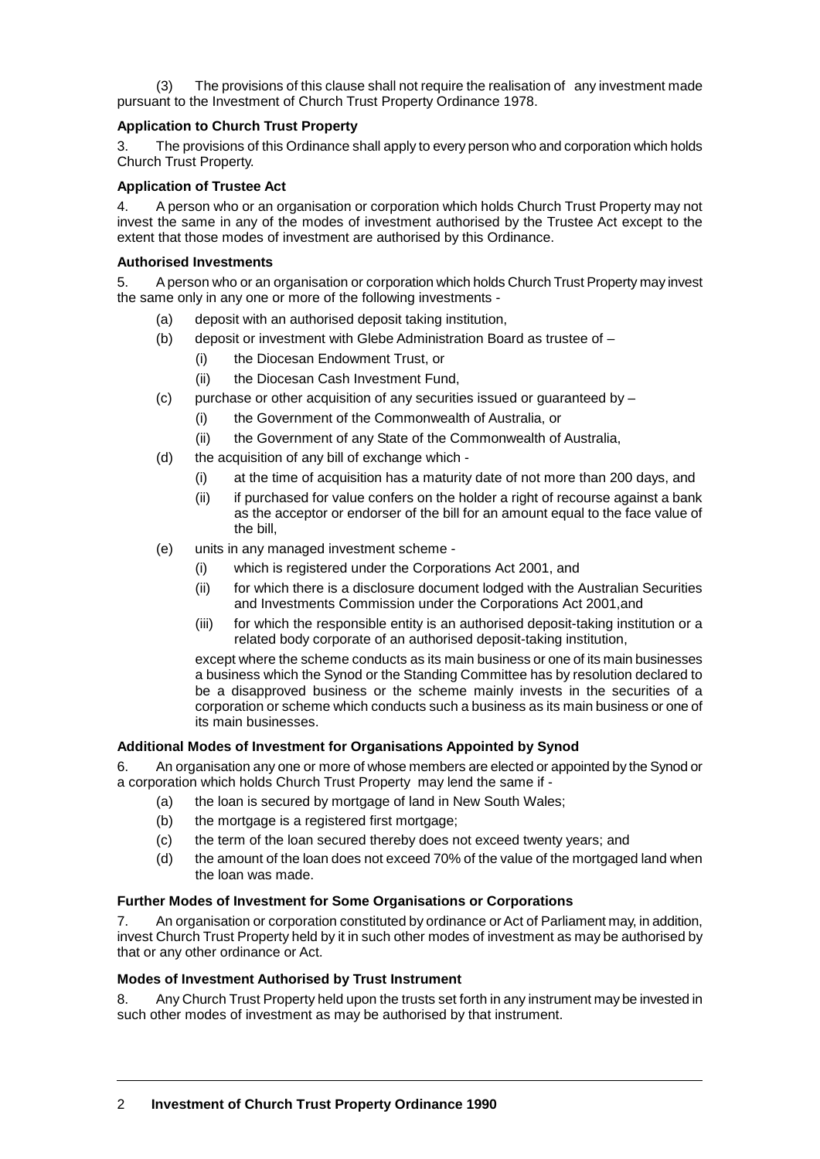(3) The provisions of this clause shall not require the realisation of any investment made pursuant to the Investment of Church Trust Property Ordinance 1978.

# **Application to Church Trust Property**

The provisions of this Ordinance shall apply to every person who and corporation which holds Church Trust Property.

# **Application of Trustee Act**

4. A person who or an organisation or corporation which holds Church Trust Property may not invest the same in any of the modes of investment authorised by the Trustee Act except to the extent that those modes of investment are authorised by this Ordinance.

## **Authorised Investments**

5. A person who or an organisation or corporation which holds Church Trust Property may invest the same only in any one or more of the following investments -

- (a) deposit with an authorised deposit taking institution,
- (b) deposit or investment with Glebe Administration Board as trustee of
	- (i) the Diocesan Endowment Trust, or
	- (ii) the Diocesan Cash Investment Fund,
- (c) purchase or other acquisition of any securities issued or guaranteed by
	- (i) the Government of the Commonwealth of Australia, or
	- (ii) the Government of any State of the Commonwealth of Australia,
- (d) the acquisition of any bill of exchange which
	- (i) at the time of acquisition has a maturity date of not more than 200 days, and
	- (ii) if purchased for value confers on the holder a right of recourse against a bank as the acceptor or endorser of the bill for an amount equal to the face value of the bill,
- (e) units in any managed investment scheme
	- (i) which is registered under the Corporations Act 2001, and
	- (ii) for which there is a disclosure document lodged with the Australian Securities and Investments Commission under the Corporations Act 2001,and
	- (iii) for which the responsible entity is an authorised deposit-taking institution or a related body corporate of an authorised deposit-taking institution,

except where the scheme conducts as its main business or one of its main businesses a business which the Synod or the Standing Committee has by resolution declared to be a disapproved business or the scheme mainly invests in the securities of a corporation or scheme which conducts such a business as its main business or one of its main businesses.

## **Additional Modes of Investment for Organisations Appointed by Synod**

6. An organisation any one or more of whose members are elected or appointed by the Synod or a corporation which holds Church Trust Property may lend the same if -

- (a) the loan is secured by mortgage of land in New South Wales;
- (b) the mortgage is a registered first mortgage;
- (c) the term of the loan secured thereby does not exceed twenty years; and
- (d) the amount of the loan does not exceed 70% of the value of the mortgaged land when the loan was made.

## **Further Modes of Investment for Some Organisations or Corporations**

7. An organisation or corporation constituted by ordinance or Act of Parliament may, in addition, invest Church Trust Property held by it in such other modes of investment as may be authorised by that or any other ordinance or Act.

## **Modes of Investment Authorised by Trust Instrument**

8. Any Church Trust Property held upon the trusts set forth in any instrument may be invested in such other modes of investment as may be authorised by that instrument.